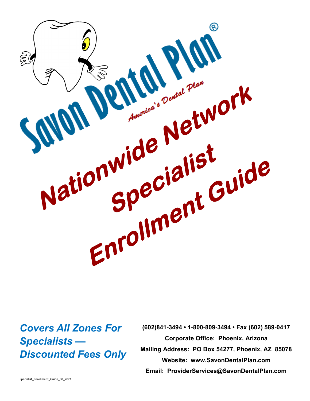

## *Covers All Zones For Specialists — Discounted Fees Only*

**(602)841-3494 • 1-800-809-3494 • Fax (602) 589-0417 Corporate Office: Phoenix, Arizona Mailing Address: PO Box 54277, Phoenix, AZ 85078 Website: www.SavonDentalPlan.com Email: ProviderServices@SavonDentalPlan.com**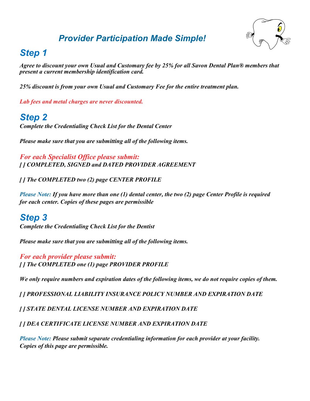## *Provider Participation Made Simple!*



## *Step 1*

*Agree to discount your own Usual and Customary fee by 25% for all Savon Dental Plan® members that present a current membership identification card.*

*25% discount is from your own Usual and Customary Fee for the entire treatment plan.*

*Lab fees and metal charges are never discounted.*

## *Step 2*

*Complete the Credentialing Check List for the Dental Center*

*Please make sure that you are submitting all of the following items.*

*For each Specialist Office please submit: [ ] COMPLETED, SIGNED and DATED PROVIDER AGREEMENT*

*[ ] The COMPLETED two (2) page CENTER PROFILE*

*Please Note: If you have more than one (1) dental center, the two (2) page Center Profile is required for each center. Copies of these pages are permissible*

## *Step 3*

*Complete the Credentialing Check List for the Dentist*

*Please make sure that you are submitting all of the following items.*

*For each provider please submit: [ ] The COMPLETED one (1) page PROVIDER PROFILE*

*We only require numbers and expiration dates of the following items, we do not require copies of them.*

*[ ] PROFESSIONAL LIABILITY INSURANCE POLICY NUMBER AND EXPIRATION DATE*

*[ ] STATE DENTAL LICENSE NUMBER AND EXPIRATION DATE*

*[ ] DEA CERTIFICATE LICENSE NUMBER AND EXPIRATION DATE*

*Please Note: Please submit separate credentialing information for each provider at your facility. Copies of this page are permissible.*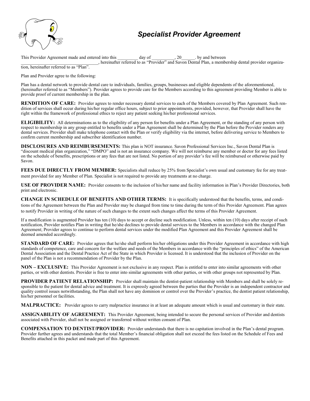

### *Specialist Provider Agreement*

This Provider Agreement made and entered into this day of the set of the set of the set of the set of the set of the set of the set of the set of the set of the set of the set of the set of the set of the set of the set of \_\_\_\_\_\_\_\_\_\_\_\_\_\_\_\_\_\_\_\_\_\_\_\_\_\_\_\_\_\_\_\_\_\_, hereinafter referred to as "Provider" and Savon Dental Plan, a membership dental provider organization, hereinafter referred to as "Plan".

Plan and Provider agree to the following:

Plan has a dental network to provide dental care to individuals, families, groups, businesses and eligible dependents of the aforementioned, (hereinafter referred to as "Members"). Provider agrees to provide care for the Members according to this agreement providing Member is able to provide proof of current membership in the plan.

**RENDITION OF CARE:** Provider agrees to render necessary dental services to each of the Members covered by Plan Agreement. Such rendition of services shall occur during his/her regular office hours, subject to prior appointments, provided, however, that Provider shall have the right within the framework of professional ethics to reject any patient seeking his/her professional services.

**ELIGIBILITY:** All determinations as to the eligibility of any person for benefits under a Plan Agreement, or the standing of any person with respect to membership in any group entitled to benefits under a Plan Agreement shall be determined by the Plan before the Provider renders any dental services. Provider shall make telephone contact with the Plan or verify eligibility via the internet, before delivering service to Members to confirm current membership and subscriber identification number.

**DISCLOSURES AND REIMBURSEMENTS:** This plan is NOT insurance. Savon Professional Services Inc., Savon Dental Plan is "discount medical plan organization," "DMPO" and is not an insurance company. We will not reimburse any member or doctor for any fees listed on the schedule of benefits, prescriptions or any fees that are not listed. No portion of any provider's fee will be reimbursed or otherwise paid by Savon.

FEES DUE DIRECTLY FROM MEMBER: Specialists shall reduce by 25% from Specialist's own usual and customary fee for any treatment provided for any Member of Plan. Specialist is not required to provide any treatments at no charge.

**USE OF PROVIDER NAME:** Provider consents to the inclusion of his/her name and facility information in Plan's Provider Directories, both print and electronic.

**CHANGE IN SCHEDULE OF BENEFITS AND OTHER TERMS:** It is specifically understood that the benefits, terms, and conditions of the Agreement between the Plan and Provider may be changed from time to time during the term of this Provider Agreement. Plan agrees to notify Provider in writing of the nature of such changes to the extent such changes affect the terms of this Provider Agreement.

If a modification is augmented Provider has ten (10) days to accept or decline such modification. Unless, within ten (10) days after receipt of such notification, Provider notifies Plan in writing that he/she declines to provide dental services to the Members in accordance with the changed Plan Agreement; Provider agrees to continue to perform dental services under the modified Plan Agreement and this Provider Agreement shall be deemed amended accordingly.

**STANDARD OF CARE:** Provider agrees that he/she shall perform his/her obligations under this Provider Agreement in accordance with high standards of competence, care and concern for the welfare and needs of the Members in accordance with the "principles of ethics" of the American Dental Association and the Dental Practice Act of the State in which Provider is licensed. It is understood that the inclusion of Provider on the panel of the Plan is not a recommendation of Provider by the Plan.

**NON – EXCLUSIVE:** This Provider Agreement is not exclusive in any respect. Plan is entitled to enter into similar agreements with other parties, or with other dentists. Provider is free to enter into similar agreements with other parties, or with other groups not represented by Plan.

**PROVIDER PATIENT RELATIONSHIP:** Provider shall maintain the dentist-patient relationship with Members and shall be solely responsible to the patient for dental advice and treatment. It is expressly agreed between the parties that the Provider is an independent contractor and quality control issues notwithstanding, the Plan shall not have any dominion or control over the Provider's practice, the dentist patient relationship, his/her personnel or facilities.

**MALPRACTICE:** Provider agrees to carry malpractice insurance in at least an adequate amount which is usual and customary in their state.

**ASSIGNABILITY OF AGREEMENT:** This Provider Agreement, being intended to secure the personal services of Provider and dentists associated with Provider, shall not be assigned or transferred without written consent of Plan.

**COMPENSATION TO DENTIST/PROVIDER:** Provider understands that there is no capitation involved in the Plan's dental program. Provider further agrees and understands that the total Member's financial obligation shall not exceed the fees listed on the Schedule of Fees and Benefits attached in this packet and made part of this Agreement.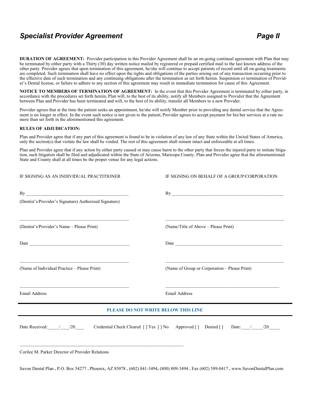### **Specialist Provider Agreement** *Page II*

**DURATION OF AGREEMENT:** Provider participation in this Provider Agreement shall be an on-going continual agreement with Plan that may be terminated by either party with a Thirty (30) day written notice mailed by registered or prepaid certified mail to the last known address of the other party. Provider agrees that upon termination of this agreement, he/she will continue to accept patients of record until all on-going treatments are completed. Such termination shall have no effect upon the rights and obligations of the parties arising out of any transaction occurring prior to the effective date of such termination and any continuing obligations after the termination as set forth herein. Suspension or termination of Provider's Dental license, or failure to adhere to any section of this agreement may result in immediate termination for cause of this Agreement.

**NOTICE TO MEMBERS OF TERMINATION OF AGREEMENT:** In the event that this Provider Agreement is terminated by either party, in accordance with the procedures set forth herein, Plan will, to the best of its ability, notify all Members assigned to Provider that the Agreement between Plan and Provider has been terminated and will, to the best of its ability, transfer all Members to a new Provider.

Provider agrees that at the time the patient seeks an appointment, he/she will notify Member prior to providing any dental service that the Agreement is no longer in effect. In the event such notice is not given to the patient, Provider agrees to accept payment for his/her services at a rate no more than set forth in the aforementioned this agreement.

#### **RULES OF ADJUDICATION:**

Plan and Provider agree that if any part of this agreement is found to be in violation of any law of any State within the United States of America, only the section(s) that violate the law shall be voided. The rest of this agreement shall remain intact and enforceable at all times.

Plan and Provider agree that if any action by either party caused or may cause harm to the other party that forces the injured party to initiate litigation, such litigation shall be filed and adjudicated within the State of Arizona, Maricopa County. Plan and Provider agree that the aforementioned State and County shall at all times be the proper venue for any legal actions.

| IF SIGNING AS AN INDIVIDUAL PRACTITIONER                                                                                                                                 | IF SIGNING ON BEHALF OF A GROUP/CORPORATION                                                                                                                            |  |  |
|--------------------------------------------------------------------------------------------------------------------------------------------------------------------------|------------------------------------------------------------------------------------------------------------------------------------------------------------------------|--|--|
| (Dentist's/Provider's Signature) Authorized Signature)                                                                                                                   |                                                                                                                                                                        |  |  |
| (Dentist's/Provider's Name - Please Print)                                                                                                                               | (Name/Title of Above - Please Print)                                                                                                                                   |  |  |
|                                                                                                                                                                          |                                                                                                                                                                        |  |  |
| (Name of Individual Practice - Please Print)                                                                                                                             | <u> La Carlo de la Carlo de la Carlo de la Carlo de la Carlo de la Carlo de la Carlo de la Carlo de la Carlo de l</u><br>(Name of Group or Corporation – Please Print) |  |  |
| <u> 1989 - Johann Harry Harry Harry Harry Harry Harry Harry Harry Harry Harry Harry Harry Harry Harry Harry Harry</u><br>Email Address                                   | <b>Email Address</b>                                                                                                                                                   |  |  |
|                                                                                                                                                                          | PLEASE DO NOT WRITE BELOW THIS LINE                                                                                                                                    |  |  |
|                                                                                                                                                                          | Date Received: / / 20 Credential Check Cleared [] Yes [] No Approved [] Denied [] Date: / / / 20                                                                       |  |  |
| <u> 1989 - Jan James James James James James James James James James James James James James James James James J</u><br>Corilee M. Parker Director of Provider Relations |                                                                                                                                                                        |  |  |

Savon Dental Plan **.** P.O. Box 54277 **.** Phoenix, AZ 85078 **.** (602) 841-3494**.** (800) 809-3494 **.** Fax (602) 589-0417 **.** www.SavonDentalPlan.com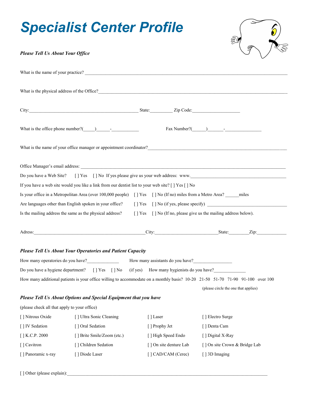# *Specialist Center Profile*



### *Please Tell Us About Your Office*

|                                              |                                                                   | What is the name of your practice?                                                                                    |                                                                                                                                |
|----------------------------------------------|-------------------------------------------------------------------|-----------------------------------------------------------------------------------------------------------------------|--------------------------------------------------------------------------------------------------------------------------------|
|                                              |                                                                   |                                                                                                                       |                                                                                                                                |
|                                              |                                                                   |                                                                                                                       |                                                                                                                                |
|                                              |                                                                   |                                                                                                                       |                                                                                                                                |
|                                              | What is the office phone number? $($ $)$ $-$                      |                                                                                                                       | $\text{Fax Number?}(\_\_\_\_\_\_\_\_\_\$                                                                                       |
|                                              |                                                                   |                                                                                                                       | What is the name of your office manager or appointment coordinator?                                                            |
|                                              |                                                                   |                                                                                                                       |                                                                                                                                |
| Do you have a Web Site?                      |                                                                   |                                                                                                                       | [] Yes [] No If yes please give us your web address: www.                                                                      |
|                                              |                                                                   | If you have a web site would you like a link from our dentist list to your web site? [ ] Yes [ ] No                   |                                                                                                                                |
|                                              |                                                                   | Is your office in a Metropolitan Area (over 100,000 people) [] Yes [] No (If no) miles from a Metro Area? _____ miles |                                                                                                                                |
|                                              | Are languages other than English spoken in your office?           |                                                                                                                       |                                                                                                                                |
|                                              | Is the mailing address the same as the physical address?          |                                                                                                                       | [] Yes [] No (If no, please give us the mailing address below).                                                                |
|                                              |                                                                   |                                                                                                                       |                                                                                                                                |
|                                              |                                                                   |                                                                                                                       | Adress: <u>Zip: Zip:</u>                                                                                                       |
|                                              | <b>Please Tell Us About Your Operatories and Patient Capacity</b> |                                                                                                                       |                                                                                                                                |
|                                              |                                                                   | How many operatories do you have?<br>How many assistants do you have?<br>How many assistants do you have?             |                                                                                                                                |
|                                              |                                                                   | Do you have a hygiene department? [] Yes [] No (if yes) How many hygienists do you have?                              |                                                                                                                                |
|                                              |                                                                   |                                                                                                                       | How many additional patients is your office willing to accommodate on a monthly basis? 10-20 21-50 51-70 71-90 91-100 over 100 |
|                                              |                                                                   |                                                                                                                       | (please circle the one that applies)                                                                                           |
|                                              | Please Tell Us About Options and Special Equipment that you have  |                                                                                                                       |                                                                                                                                |
| (please check all that apply to your office) |                                                                   |                                                                                                                       |                                                                                                                                |
| [] Nitrous Oxide                             | [] Ultra Sonic Cleaning                                           | [] Laser                                                                                                              | [] Electro Surge                                                                                                               |
| [] IV Sedation                               | [] Oral Sedation                                                  | [ ] Prophy Jet                                                                                                        | [] Denta Cam                                                                                                                   |
| $[$ ] K.C.P. 2000                            | [] Brite Smile/Zoom (etc.)                                        | [ ] High Speed Endo                                                                                                   | [] Digital X-Ray                                                                                                               |
| [] Cavitron                                  | [] Children Sedation                                              | [] On site denture Lab                                                                                                | [] On site Crown & Bridge Lab                                                                                                  |
| [] Panoramic x-ray                           | [] Diode Laser                                                    | [] CAD/CAM (Cerec)                                                                                                    | [] 3D Imaging                                                                                                                  |
|                                              |                                                                   |                                                                                                                       |                                                                                                                                |

[ ] Other (please explain):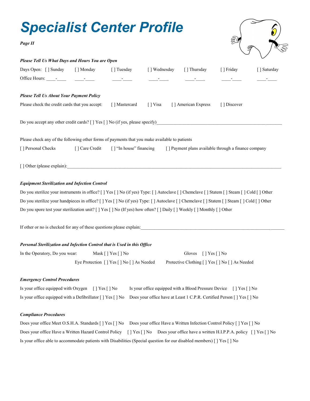

### *Equipment Sterilization and Infection Control*

Do you sterilize your instruments in office? [ ] Yes [ ] No (if yes) Type: [ ] Autoclave [ ] Chemclave [ ] Statem [ ] Steam [ ] Cold [ ] Other Do you sterilize your handpieces in office? [ ] Yes [ ] No (if yes) Type: [ ] Autoclave [ ] Chemclave [ ] Statem [ ] Steam [ ] Cold [ ] Other Do you spore test your sterilization unit?  $[ \ ]$  Yes  $[ \ ]$  No (If yes) how often?  $[ \ ]$  Daily  $[ \ ]$  Weekly  $[ \ ]$  Monthly  $[ \ ]$  Other

If other or no is checked for any of these questions please explain:

### *Personal Sterilization and Infection Control that is Used in this Office*

| In the Operatory, Do you wear: | Mask $\lceil \cdot \rceil$ Yes $\lceil \cdot \rceil$ No | Gloves $[$   Yes $[$   No                        |
|--------------------------------|---------------------------------------------------------|--------------------------------------------------|
|                                | Eye Protection [] Yes [] No [] As Needed                | Protective Clothing [ ] Yes [ ] No [ ] As Needed |

#### *Emergency Control Procedures*

| Is your office equipped with Oxygen [] Yes [] No | Is your office equipped with a Blood Pressure Device [] Yes [] No                                                                   |  |
|--------------------------------------------------|-------------------------------------------------------------------------------------------------------------------------------------|--|
|                                                  | Is your office equipped with a Defibrillator [ ] Yes [ ] No Does your office have at Least 1 C.P.R. Certified Person [ ] Yes [ ] No |  |

### *Compliance Procedures*

|                                                                                                                        |  | Does your office Meet O.S.H.A. Standards [] Yes [] No Does your office Have a Written Infection Control Policy [] Yes [] No       |  |  |  |
|------------------------------------------------------------------------------------------------------------------------|--|-----------------------------------------------------------------------------------------------------------------------------------|--|--|--|
|                                                                                                                        |  | Does your office Have a Written Hazard Control Policy [] Yes [] No Does your office have a written H.I.P.P.A. policy [] Yes [] No |  |  |  |
| Is your office able to accommodate patients with Disabilities (Special question for our disabled members) [] Yes [] No |  |                                                                                                                                   |  |  |  |